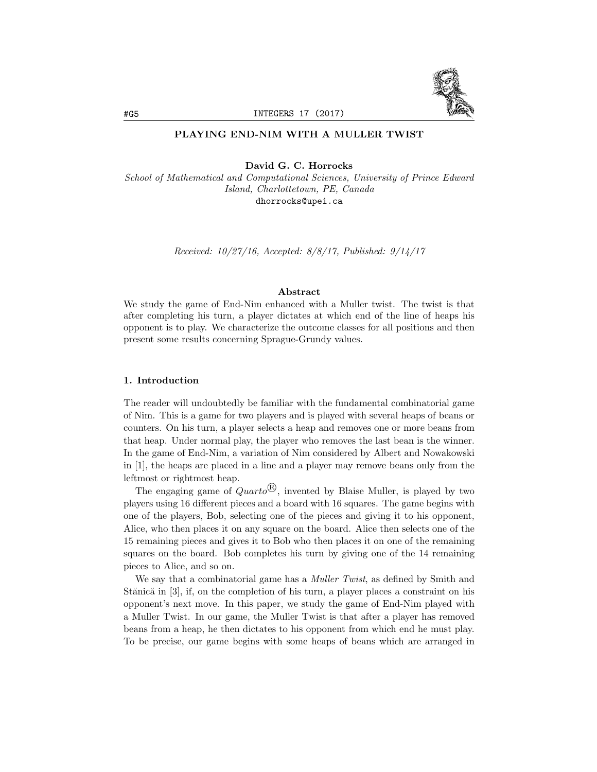

# PLAYING END-NIM WITH A MULLER TWIST

David G. C. Horrocks

*School of Mathematical and Computational Sciences, University of Prince Edward Island, Charlottetown, PE, Canada* dhorrocks@upei.ca

*Received: 10/27/16, Accepted: 8/8/17, Published: 9/14/17*

#### Abstract

We study the game of End-Nim enhanced with a Muller twist. The twist is that after completing his turn, a player dictates at which end of the line of heaps his opponent is to play. We characterize the outcome classes for all positions and then present some results concerning Sprague-Grundy values.

#### 1. Introduction

The reader will undoubtedly be familiar with the fundamental combinatorial game of Nim. This is a game for two players and is played with several heaps of beans or counters. On his turn, a player selects a heap and removes one or more beans from that heap. Under normal play, the player who removes the last bean is the winner. In the game of End-Nim, a variation of Nim considered by Albert and Nowakowski in [1], the heaps are placed in a line and a player may remove beans only from the leftmost or rightmost heap.

The engaging game of  $Quarto^{\textcircled{B}}$ , invented by Blaise Muller, is played by two players using 16 different pieces and a board with 16 squares. The game begins with one of the players, Bob, selecting one of the pieces and giving it to his opponent, Alice, who then places it on any square on the board. Alice then selects one of the 15 remaining pieces and gives it to Bob who then places it on one of the remaining squares on the board. Bob completes his turn by giving one of the 14 remaining pieces to Alice, and so on.

We say that a combinatorial game has a *Muller Twist*, as defined by Smith and Stănică in  $[3]$ , if, on the completion of his turn, a player places a constraint on his opponent's next move. In this paper, we study the game of End-Nim played with a Muller Twist. In our game, the Muller Twist is that after a player has removed beans from a heap, he then dictates to his opponent from which end he must play. To be precise, our game begins with some heaps of beans which are arranged in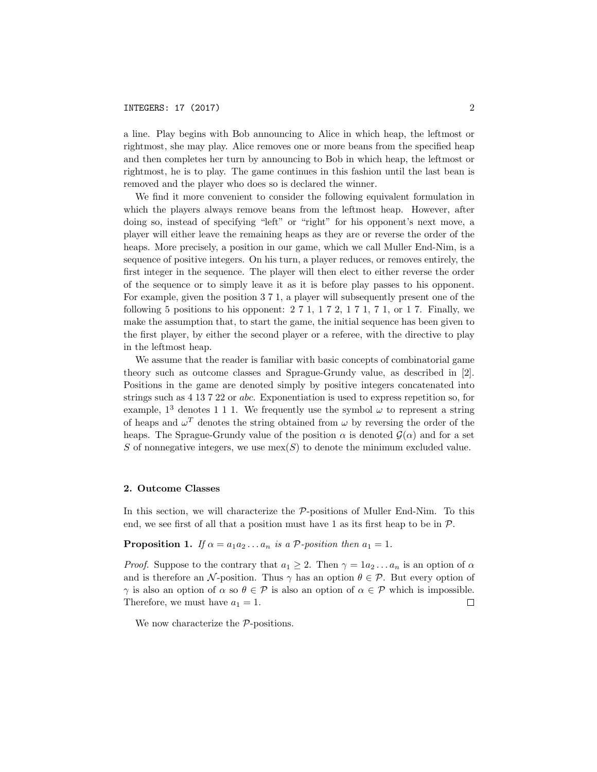### INTEGERS: 17 (2017) 2

a line. Play begins with Bob announcing to Alice in which heap, the leftmost or rightmost, she may play. Alice removes one or more beans from the specified heap and then completes her turn by announcing to Bob in which heap, the leftmost or rightmost, he is to play. The game continues in this fashion until the last bean is removed and the player who does so is declared the winner.

We find it more convenient to consider the following equivalent formulation in which the players always remove beans from the leftmost heap. However, after doing so, instead of specifying "left" or "right" for his opponent's next move, a player will either leave the remaining heaps as they are or reverse the order of the heaps. More precisely, a position in our game, which we call Muller End-Nim, is a sequence of positive integers. On his turn, a player reduces, or removes entirely, the first integer in the sequence. The player will then elect to either reverse the order of the sequence or to simply leave it as it is before play passes to his opponent. For example, given the position 3 7 1, a player will subsequently present one of the following 5 positions to his opponent:  $2 \, 7 \, 1$ ,  $1 \, 7 \, 2$ ,  $1 \, 7 \, 1$ ,  $7 \, 1$ , or  $1 \, 7$ . Finally, we make the assumption that, to start the game, the initial sequence has been given to the first player, by either the second player or a referee, with the directive to play in the leftmost heap.

We assume that the reader is familiar with basic concepts of combinatorial game theory such as outcome classes and Sprague-Grundy value, as described in [2]. Positions in the game are denoted simply by positive integers concatenated into strings such as 4 13 7 22 or *abc*. Exponentiation is used to express repetition so, for example,  $1^3$  denotes 1 1 1. We frequently use the symbol  $\omega$  to represent a string of heaps and  $\omega^T$  denotes the string obtained from  $\omega$  by reversing the order of the heaps. The Sprague-Grundy value of the position  $\alpha$  is denoted  $\mathcal{G}(\alpha)$  and for a set *S* of nonnegative integers, we use mex(*S*) to denote the minimum excluded value.

#### 2. Outcome Classes

In this section, we will characterize the *P*-positions of Muller End-Nim. To this end, we see first of all that a position must have 1 as its first heap to be in *P*.

## **Proposition 1.** *If*  $\alpha = a_1 a_2 \dots a_n$  *is*  $a$  *P-position then*  $a_1 = 1$ *.*

*Proof.* Suppose to the contrary that  $a_1 \geq 2$ . Then  $\gamma = 1a_2 \dots a_n$  is an option of  $\alpha$ and is therefore an  $\mathcal N$ -position. Thus  $\gamma$  has an option  $\theta \in \mathcal P$ . But every option of  $\gamma$  is also an option of  $\alpha$  so  $\theta \in \mathcal{P}$  is also an option of  $\alpha \in \mathcal{P}$  which is impossible. Therefore, we must have  $a_1 = 1$ .  $\Box$ 

We now characterize the *P*-positions.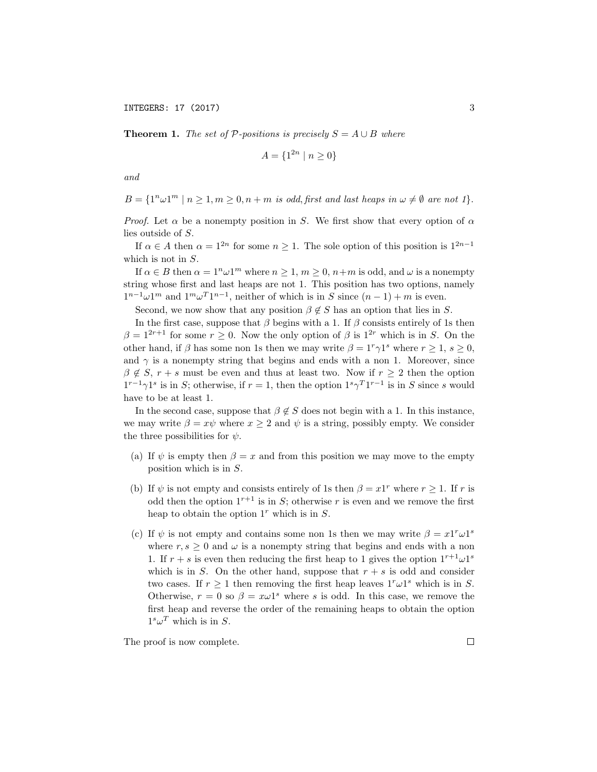INTEGERS: 17 (2017) 3

**Theorem 1.** The set of  $P$ -positions is precisely  $S = A \cup B$  where

$$
A = \{1^{2n} \mid n \ge 0\}
$$

*and*

$$
B = \{1^n \omega 1^m \mid n \ge 1, m \ge 0, n+m \text{ is odd, first and last heaps in } \omega \neq \emptyset \text{ are not } 1\}.
$$

*Proof.* Let  $\alpha$  be a nonempty position in *S*. We first show that every option of  $\alpha$ lies outside of *S*.

If  $\alpha \in A$  then  $\alpha = 1^{2n}$  for some  $n \geq 1$ . The sole option of this position is  $1^{2n-1}$ which is not in *S*.

If  $\alpha \in B$  then  $\alpha = 1^n \omega 1^m$  where  $n \ge 1$ ,  $m \ge 0$ ,  $n+m$  is odd, and  $\omega$  is a nonempty string whose first and last heaps are not 1. This position has two options, namely  $1^{n-1}\omega1^m$  and  $1^m\omega^T1^{n-1}$ , neither of which is in *S* since  $(n-1) + m$  is even.

Second, we now show that any position  $\beta \notin S$  has an option that lies in *S*.

In the first case, suppose that  $\beta$  begins with a 1. If  $\beta$  consists entirely of 1s then  $\beta = 1^{2r+1}$  for some  $r \geq 0$ . Now the only option of  $\beta$  is  $1^{2r}$  which is in *S*. On the other hand, if  $\beta$  has some non 1s then we may write  $\beta = 1^r \gamma 1^s$  where  $r \ge 1$ ,  $s \ge 0$ , and  $\gamma$  is a nonempty string that begins and ends with a non 1. Moreover, since  $\beta \notin S$ ,  $r + s$  must be even and thus at least two. Now if  $r > 2$  then the option  $1^{r-1}\gamma1^s$  is in *S*; otherwise, if  $r=1$ , then the option  $1^s\gamma^T1^{r-1}$  is in *S* since *s* would have to be at least 1.

In the second case, suppose that  $\beta \notin S$  does not begin with a 1. In this instance, we may write  $\beta = x\psi$  where  $x \ge 2$  and  $\psi$  is a string, possibly empty. We consider the three possibilities for  $\psi$ .

- (a) If  $\psi$  is empty then  $\beta = x$  and from this position we may move to the empty position which is in *S*.
- (b) If  $\psi$  is not empty and consists entirely of 1s then  $\beta = x1^r$  where  $r > 1$ . If r is odd then the option  $1^{r+1}$  is in *S*; otherwise *r* is even and we remove the first heap to obtain the option 1*<sup>r</sup>* which is in *S*.
- (c) If  $\psi$  is not empty and contains some non 1s then we may write  $\beta = x1^r \omega 1^s$ where  $r, s \geq 0$  and  $\omega$  is a nonempty string that begins and ends with a non 1. If  $r + s$  is even then reducing the first heap to 1 gives the option  $1^{r+1}\omega1^s$ which is in *S*. On the other hand, suppose that  $r + s$  is odd and consider two cases. If  $r \geq 1$  then removing the first heap leaves  $1^r \omega 1^s$  which is in *S*. Otherwise,  $r = 0$  so  $\beta = x\omega 1^s$  where *s* is odd. In this case, we remove the first heap and reverse the order of the remaining heaps to obtain the option  $1<sup>s</sup> \omega<sup>T</sup>$  which is in *S*.

The proof is now complete.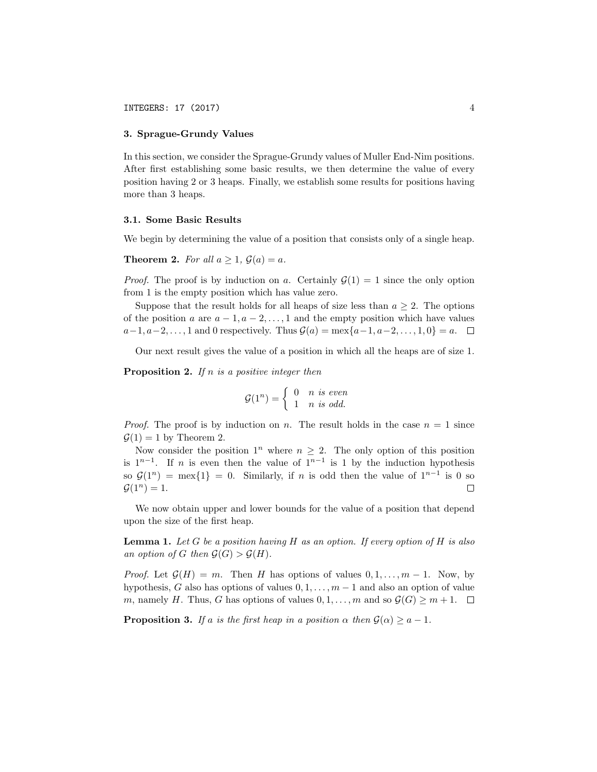#### 3. Sprague-Grundy Values

In this section, we consider the Sprague-Grundy values of Muller End-Nim positions. After first establishing some basic results, we then determine the value of every position having 2 or 3 heaps. Finally, we establish some results for positions having more than 3 heaps.

#### 3.1. Some Basic Results

We begin by determining the value of a position that consists only of a single heap.

**Theorem 2.** For all  $a \geq 1$ ,  $\mathcal{G}(a) = a$ .

*Proof.* The proof is by induction on *a*. Certainly  $\mathcal{G}(1) = 1$  since the only option from 1 is the empty position which has value zero.

Suppose that the result holds for all heaps of size less than  $a \geq 2$ . The options of the position *a* are  $a-1, a-2, \ldots, 1$  and the empty position which have values  $a-1, a-2, \ldots, 1$  and 0 respectively. Thus  $\mathcal{G}(a) = \max\{a-1, a-2, \ldots, 1, 0\} = a.$ 

Our next result gives the value of a position in which all the heaps are of size 1.

Proposition 2. *If n is a positive integer then*

$$
\mathcal{G}(1^n) = \left\{ \begin{array}{ll} 0 & n \text{ is even} \\ 1 & n \text{ is odd.} \end{array} \right.
$$

*Proof.* The proof is by induction on *n*. The result holds in the case  $n = 1$  since  $\mathcal{G}(1) = 1$  by Theorem 2.

Now consider the position  $1^n$  where  $n \geq 2$ . The only option of this position is  $1^{n-1}$ . If *n* is even then the value of  $1^{n-1}$  is 1 by the induction hypothesis so  $\mathcal{G}(1^n) = \max\{1\} = 0$ . Similarly, if *n* is odd then the value of  $1^{n-1}$  is 0 so  $\mathcal{G}(1^n) = 1$ .  $G(1^n) = 1.$ 

We now obtain upper and lower bounds for the value of a position that depend upon the size of the first heap.

Lemma 1. *Let G be a position having H as an option. If every option of H is also an option of G then*  $\mathcal{G}(G) > \mathcal{G}(H)$ *.* 

*Proof.* Let  $\mathcal{G}(H) = m$ . Then *H* has options of values  $0, 1, \ldots, m-1$ . Now, by hypothesis, *G* also has options of values  $0, 1, \ldots, m-1$  and also an option of value *m*, namely *H*. Thus, *G* has options of values  $0, 1, \ldots, m$  and so  $\mathcal{G}(G) \geq m + 1$ .  $\Box$ 

**Proposition 3.** If a is the first heap in a position  $\alpha$  then  $\mathcal{G}(\alpha) \geq a - 1$ .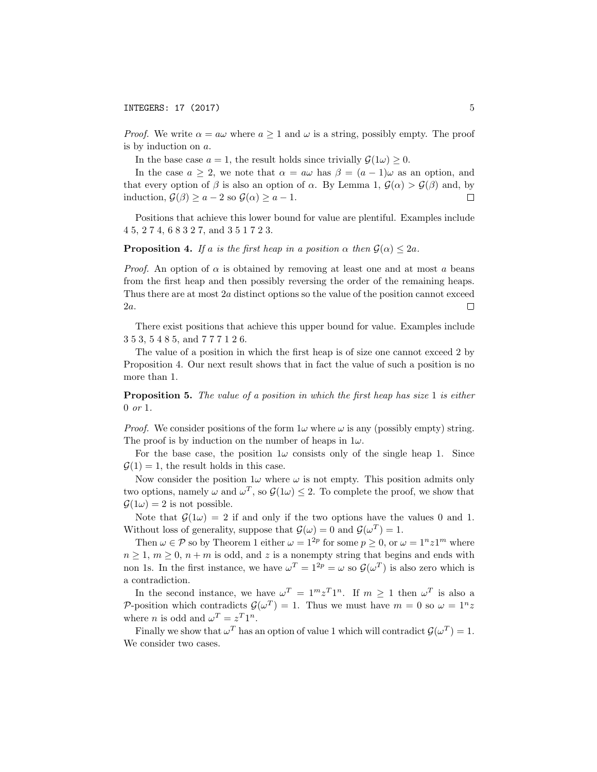*Proof.* We write  $\alpha = a\omega$  where  $a \ge 1$  and  $\omega$  is a string, possibly empty. The proof is by induction on *a*.

In the base case  $a = 1$ , the result holds since trivially  $\mathcal{G}(1\omega) \geq 0$ .

In the case  $a \geq 2$ , we note that  $\alpha = a\omega$  has  $\beta = (a-1)\omega$  as an option, and that every option of  $\beta$  is also an option of  $\alpha$ . By Lemma 1,  $\mathcal{G}(\alpha) > \mathcal{G}(\beta)$  and, by induction  $\mathcal{G}(\beta) > a - 2$  so  $\mathcal{G}(\alpha) > a - 1$ induction,  $\mathcal{G}(\beta) \ge a - 2$  so  $\mathcal{G}(\alpha) \ge a - 1$ .

Positions that achieve this lower bound for value are plentiful. Examples include 4 5, 2 7 4, 6 8 3 2 7, and 3 5 1 7 2 3.

**Proposition 4.** *If a is the first heap in a position*  $\alpha$  *then*  $\mathcal{G}(\alpha) \leq 2a$ *.* 

*Proof.* An option of  $\alpha$  is obtained by removing at least one and at most  $\alpha$  beans from the first heap and then possibly reversing the order of the remaining heaps. Thus there are at most 2*a* distinct options so the value of the position cannot exceed 2*a*.  $\Box$ 

There exist positions that achieve this upper bound for value. Examples include 3 5 3, 5 4 8 5, and 7 7 7 1 2 6.

The value of a position in which the first heap is of size one cannot exceed 2 by Proposition 4. Our next result shows that in fact the value of such a position is no more than 1.

Proposition 5. *The value of a position in which the first heap has size* 1 *is either* 0 *or* 1*.*

*Proof.* We consider positions of the form  $1\omega$  where  $\omega$  is any (possibly empty) string. The proof is by induction on the number of heaps in  $1\omega$ .

For the base case, the position  $1\omega$  consists only of the single heap 1. Since  $\mathcal{G}(1) = 1$ , the result holds in this case.

Now consider the position  $1\omega$  where  $\omega$  is not empty. This position admits only two options, namely  $\omega$  and  $\omega^T$ , so  $\mathcal{G}(1\omega) \leq 2$ . To complete the proof, we show that  $\mathcal{G}(1\omega) = 2$  is not possible.

Note that  $\mathcal{G}(1\omega) = 2$  if and only if the two options have the values 0 and 1. Without loss of generality, suppose that  $\mathcal{G}(\omega) = 0$  and  $\mathcal{G}(\omega^T) = 1$ .

Then  $\omega \in \mathcal{P}$  so by Theorem 1 either  $\omega = 1^{2p}$  for some  $p \ge 0$ , or  $\omega = 1^n z 1^m$  where  $n \geq 1, m \geq 0, n+m$  is odd, and *z* is a nonempty string that begins and ends with non 1s. In the first instance, we have  $\omega^T = 1^{2p} = \omega$  so  $\mathcal{G}(\omega^T)$  is also zero which is a contradiction.

In the second instance, we have  $\omega^T = 1^m z^T 1^n$ . If  $m \ge 1$  then  $\omega^T$  is also a *P*-position which contradicts  $\mathcal{G}(\omega^T) = 1$ . Thus we must have  $m = 0$  so  $\omega = 1^n z$ where *n* is odd and  $\omega^T = z^T 1^n$ .

Finally we show that  $\omega^T$  has an option of value 1 which will contradict  $\mathcal{G}(\omega^T) = 1$ . We consider two cases.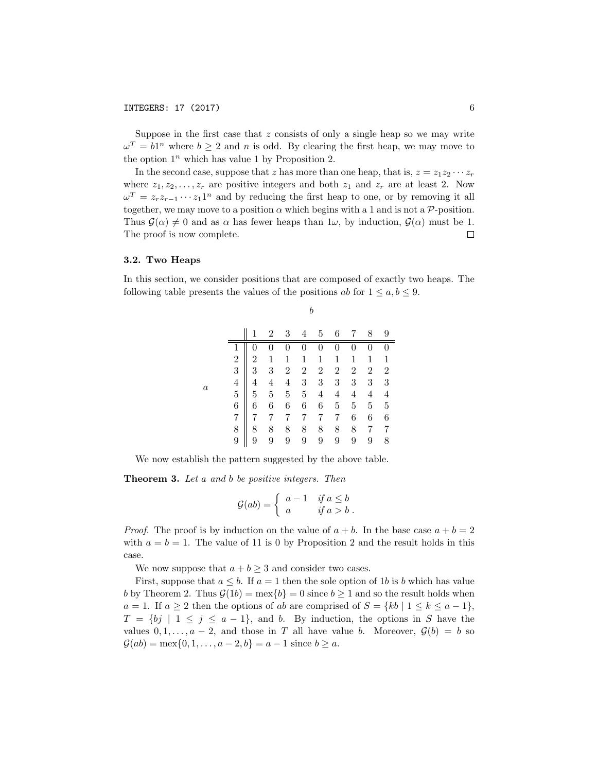Suppose in the first case that *z* consists of only a single heap so we may write  $\omega^T = b1^n$  where  $b \geq 2$  and *n* is odd. By clearing the first heap, we may move to the option  $1^n$  which has value 1 by Proposition 2.

In the second case, suppose that *z* has more than one heap, that is,  $z = z_1 z_2 \cdots z_r$ where  $z_1, z_2, \ldots, z_r$  are positive integers and both  $z_1$  and  $z_r$  are at least 2. Now  $\omega^T = z_r z_{r-1} \cdots z_1 1^n$  and by reducing the first heap to one, or by removing it all together, we may move to a position  $\alpha$  which begins with a 1 and is not a  $\mathcal{P}$ -position. Thus  $G(\alpha) \neq 0$  and as  $\alpha$  has fewer heaps than  $1\omega$ , by induction,  $G(\alpha)$  must be 1.<br>The proof is now complete. The proof is now complete.

#### 3.2. Two Heaps

In this section, we consider positions that are composed of exactly two heaps. The following table presents the values of the positions *ab* for  $1 \leq a, b \leq 9$ .

|                  |                |                | 2              | 3              | 4                                          | 5                | 6              | 7                | 8                | 9              |
|------------------|----------------|----------------|----------------|----------------|--------------------------------------------|------------------|----------------|------------------|------------------|----------------|
| $\boldsymbol{a}$ |                |                |                | $\overline{0}$ | $\boldsymbol{0}$                           | $\boldsymbol{0}$ | $\overline{0}$ | $\overline{0}$   | $\boldsymbol{0}$ | $\overline{0}$ |
|                  | $\overline{2}$ | 2              | 1              | $\mathbf 1$    | $\mathbf{1}$                               | $\overline{1}$   | $\mathbf{1}$   | 1                | $\mathbf{1}$     | $\overline{1}$ |
|                  | 3              | 3              | 3              | $\overline{2}$ |                                            | $\overline{2}$   | $\overline{2}$ | $\overline{2}$   | $\overline{2}$   | $\overline{2}$ |
|                  | $\overline{4}$ | 4              | $\overline{4}$ | $\overline{4}$ | $\begin{array}{c} 2 \\ 3 \\ 5 \end{array}$ | $\overline{3}$   | 3              | $\boldsymbol{3}$ | 3                | 3              |
|                  | $\overline{5}$ | $\overline{5}$ | $\overline{5}$ | $\overline{5}$ |                                            | $\overline{4}$   | $\overline{4}$ | 4                | $\overline{4}$   | $\overline{4}$ |
|                  | 6              | 6              | 6              | 6              | $\overline{6}$                             | $\,6$            | $\bf 5$        | $5\,$            | $\bf 5$          | $\overline{5}$ |
|                  | $\overline{7}$ | 7              |                | 7              | $\overline{7}$                             | $\overline{7}$   | 7              | 6                | 6                | 6              |
|                  | 8              | 8              | 8              | 8              | 8                                          | 8                | 8              | 8                | 7                | 7              |
|                  | 9              | 9              | 9              | 9              | 9                                          | 9                | 9              | 9                | 9                | 8              |

We now establish the pattern suggested by the above table.

Theorem 3. *Let a and b be positive integers. Then*

$$
\mathcal{G}(ab) = \begin{cases} a - 1 & \text{if } a \le b \\ a & \text{if } a > b \end{cases}.
$$

*Proof.* The proof is by induction on the value of  $a + b$ . In the base case  $a + b = 2$ with  $a = b = 1$ . The value of 11 is 0 by Proposition 2 and the result holds in this case.

We now suppose that  $a + b \geq 3$  and consider two cases.

First, suppose that  $a \leq b$ . If  $a = 1$  then the sole option of 1*b* is *b* which has value *b* by Theorem 2. Thus  $G(1b) = \max\{b\} = 0$  since  $b \ge 1$  and so the result holds when  $a = 1$ . If  $a \geq 2$  then the options of *ab* are comprised of  $S = \{kb \mid 1 \leq k \leq a-1\},\$  $T = \{bj \mid 1 \leq j \leq a-1\},\$  and *b*. By induction, the options in *S* have the values  $0, 1, \ldots, a-2$ , and those in *T* all have value *b*. Moreover,  $\mathcal{G}(b) = b$  so  $\mathcal{G}(ab) = \max\{0, 1, \ldots, a-2, b\} = a-1$  since  $b \geq a$ .

*b*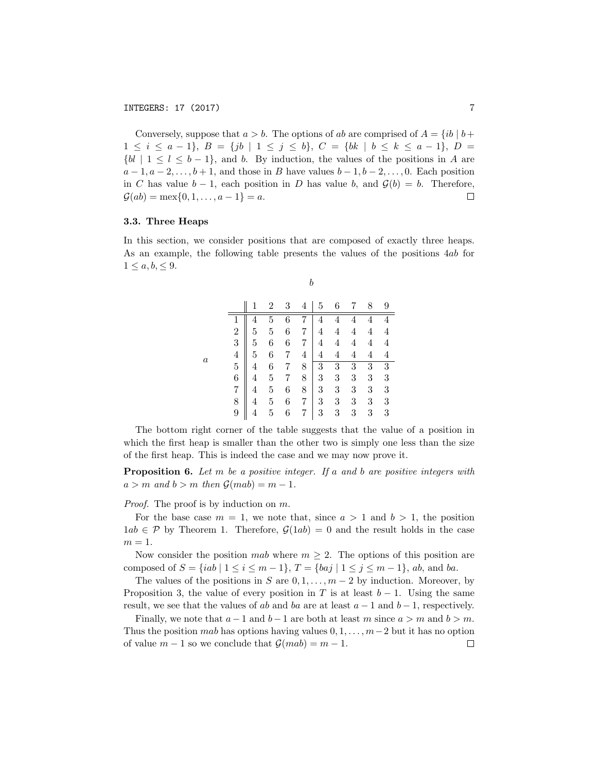Conversely, suppose that  $a > b$ . The options of *ab* are comprised of  $A = \{ib \mid b + c\}$  $1 \leq i \leq a-1$ ,  $B = \{jb \mid 1 \leq j \leq b\}$ ,  $C = \{bk \mid b \leq k \leq a-1\}$ ,  $D =$  $\{bl \mid 1 \leq l \leq b-1\}$ , and *b*. By induction, the values of the positions in *A* are  $a-1, a-2, \ldots, b+1$ , and those in *B* have values  $b-1, b-2, \ldots, 0$ . Each position in *C* has value  $b - 1$ , each position in *D* has value *b*, and  $\mathcal{G}(b) = b$ . Therefore,  $\mathcal{G}(ab) = \max\{0, 1, ..., a - 1\} = a$ .  $\mathcal{G}(ab) = \max\{0, 1, \ldots, a-1\} = a.$ 

#### 3.3. Three Heaps

In this section, we consider positions that are composed of exactly three heaps. As an example, the following table presents the values of the positions 4*ab* for  $1 \leq a, b, \leq 9.$ 

*b*

|         |                |                |                | 3              | 4                                               | 5                                     | 6                                             |                | 8                       | 9                                          |
|---------|----------------|----------------|----------------|----------------|-------------------------------------------------|---------------------------------------|-----------------------------------------------|----------------|-------------------------|--------------------------------------------|
| $\it a$ |                |                | 5              | $\overline{6}$ |                                                 | $\overline{4}$                        | $\overline{4}$                                | 4              | $\overline{\mathbf{4}}$ |                                            |
|         | $\overline{2}$ | $\overline{5}$ | $\overline{5}$ | $\overline{6}$ | $\frac{7}{7}$                                   | $\overline{4}$                        | $\overline{4}$                                | 4              | $\overline{4}$          | $\begin{array}{c} 4 \\ 4 \\ 4 \end{array}$ |
|         | 3              | $\overline{5}$ | 6              | $\frac{6}{7}$  | $\overline{7}$                                  | $\overline{4}$                        | $\overline{4}$                                | 4              | $\overline{4}$          |                                            |
|         | $\overline{4}$ | $\overline{5}$ | $\overline{6}$ |                | $\overline{4}$                                  | $\overline{4}$                        | $\overline{4}$                                | $\overline{4}$ | $\overline{4}$          | $\overline{4}$                             |
|         | $\overline{5}$ | $\overline{4}$ | 6              | 7              |                                                 |                                       |                                               | $\overline{3}$ | $\frac{3}{3}$           |                                            |
|         | $\overline{6}$ | $\overline{4}$ | $\overline{5}$ | 7              |                                                 | $\begin{array}{c} 3 \\ 3 \end{array}$ |                                               | $\overline{3}$ |                         |                                            |
|         | $\overline{7}$ | $\overline{4}$ | 5              | 6              | $\begin{array}{c} 8 \\ 8 \\ 8 \\ 7 \end{array}$ |                                       | $\begin{smallmatrix}3\3\3\3\end{smallmatrix}$ | 3              | 3                       | $\begin{array}{c} 3 \\ 3 \\ 3 \end{array}$ |
|         | 8              | 4              | $\overline{5}$ | 6              |                                                 | $\frac{3}{3}$                         |                                               | 3              | 3                       |                                            |
|         | 9              | 4              | 5              | 6              | $\overline{7}$                                  |                                       |                                               | $\overline{3}$ | 3                       |                                            |

The bottom right corner of the table suggests that the value of a position in which the first heap is smaller than the other two is simply one less than the size of the first heap. This is indeed the case and we may now prove it.

Proposition 6. *Let m be a positive integer. If a and b are positive integers with*  $a > m$  and  $b > m$  then  $\mathcal{G}(mab) = m - 1$ .

*Proof.* The proof is by induction on *m*.

For the base case  $m = 1$ , we note that, since  $a > 1$  and  $b > 1$ , the position  $1ab \in \mathcal{P}$  by Theorem 1. Therefore,  $\mathcal{G}(1ab) = 0$  and the result holds in the case  $m=1$ .

Now consider the position *mab* where  $m \geq 2$ . The options of this position are composed of  $S = \{iab \mid 1 \le i \le m-1\}$ ,  $T = \{baj \mid 1 \le j \le m-1\}$ , ab, and ba.

The values of the positions in *S* are  $0, 1, \ldots, m-2$  by induction. Moreover, by Proposition 3, the value of every position in *T* is at least  $b-1$ . Using the same result, we see that the values of *ab* and *ba* are at least  $a-1$  and  $b-1$ , respectively.

Finally, we note that  $a-1$  and  $b-1$  are both at least m since  $a > m$  and  $b > m$ . Thus the position *mab* has options having values  $0, 1, \ldots, m-2$  but it has no option of value  $m-1$  so we conclude that  $G(mab) = m-1$ . of value  $m-1$  so we conclude that  $\mathcal{G}(mab) = m-1$ .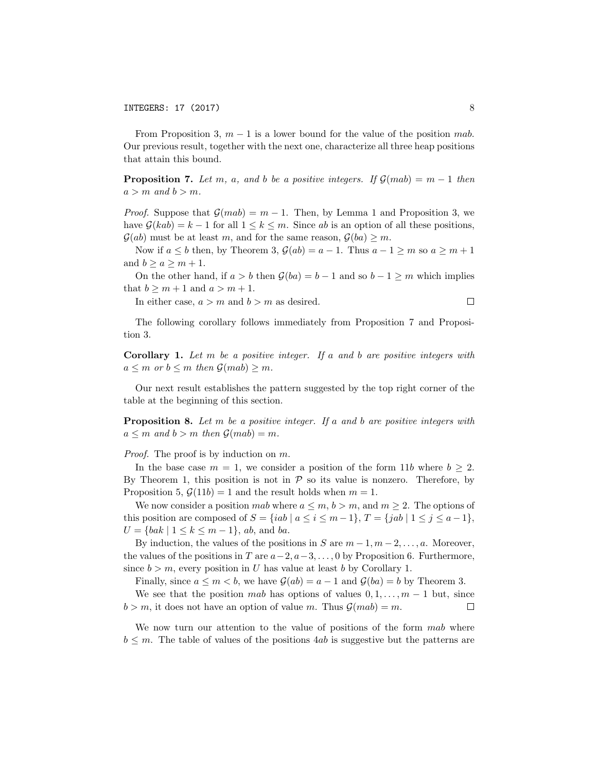From Proposition 3,  $m - 1$  is a lower bound for the value of the position *mab*. Our previous result, together with the next one, characterize all three heap positions that attain this bound.

**Proposition 7.** Let m, a, and b be a positive integers. If  $\mathcal{G}(mab) = m-1$  then  $a > m$  *and*  $b > m$ *.* 

*Proof.* Suppose that  $\mathcal{G}(mab) = m-1$ . Then, by Lemma 1 and Proposition 3, we have  $\mathcal{G}(kab) = k - 1$  for all  $1 \leq k \leq m$ . Since *ab* is an option of all these positions,  $\mathcal{G}(ab)$  must be at least *m*, and for the same reason,  $\mathcal{G}(ba) \geq m$ .

Now if  $a \leq b$  then, by Theorem 3,  $\mathcal{G}(ab) = a - 1$ . Thus  $a - 1 \geq m$  so  $a \geq m + 1$ and  $b \ge a \ge m + 1$ .

On the other hand, if  $a > b$  then  $\mathcal{G}(ba) = b - 1$  and so  $b - 1 \ge m$  which implies that  $b \ge m + 1$  and  $a > m + 1$ .

In either case,  $a > m$  and  $b > m$  as desired.

The following corollary follows immediately from Proposition 7 and Proposition 3.

Corollary 1. *Let m be a positive integer. If a and b are positive integers with*  $a \leq m$  *or*  $b \leq m$  *then*  $\mathcal{G}(mab) \geq m$ *.* 

Our next result establishes the pattern suggested by the top right corner of the table at the beginning of this section.

Proposition 8. *Let m be a positive integer. If a and b are positive integers with*  $a \leq m$  *and*  $b > m$  *then*  $\mathcal{G}(mab) = m$ *.* 

*Proof.* The proof is by induction on *m*.

In the base case  $m = 1$ , we consider a position of the form 11*b* where  $b \geq 2$ . By Theorem 1, this position is not in  $P$  so its value is nonzero. Therefore, by Proposition 5,  $\mathcal{G}(11b) = 1$  and the result holds when  $m = 1$ .

We now consider a position *mab* where  $a \leq m, b > m$ , and  $m \geq 2$ . The options of this position are composed of  $S = \{iab \mid a \le i \le m-1\}$ ,  $T = \{jab \mid 1 \le j \le a-1\}$ ,  $U = \{bak \mid 1 \leq k \leq m-1 \}, ab, \text{ and } ba.$ 

By induction, the values of the positions in *S* are  $m-1, m-2, \ldots, a$ . Moreover, the values of the positions in *T* are  $a-2$ ,  $a-3$ , ..., 0 by Proposition 6. Furthermore, since  $b > m$ , every position in *U* has value at least *b* by Corollary 1.

Finally, since  $a \leq m < b$ , we have  $\mathcal{G}(ab) = a - 1$  and  $\mathcal{G}(ba) = b$  by Theorem 3.

We see that the position *mab* has options of values  $0, 1, \ldots, m-1$  but, since  $b > m$ , it does not have an option of value *m*. Thus  $\mathcal{G}(mab) = m$ . □

We now turn our attention to the value of positions of the form *mab* where  $b \leq m$ . The table of values of the positions  $4ab$  is suggestive but the patterns are

 $\Box$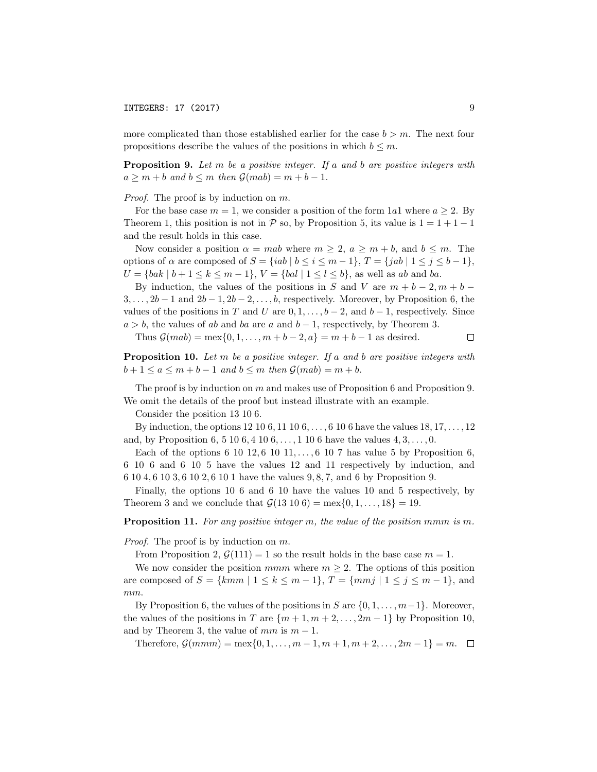more complicated than those established earlier for the case  $b > m$ . The next four propositions describe the values of the positions in which  $b \leq m$ .

Proposition 9. *Let m be a positive integer. If a and b are positive integers with*  $a \geq m + b$  *and*  $b \leq m$  *then*  $\mathcal{G}(mab) = m + b - 1$ *.* 

*Proof.* The proof is by induction on *m*.

For the base case  $m = 1$ , we consider a position of the form 1*a*1 where  $a \geq 2$ . By Theorem 1, this position is not in  $P$  so, by Proposition 5, its value is  $1 = 1 + 1 - 1$ and the result holds in this case.

Now consider a position  $\alpha = mab$  where  $m \geq 2$ ,  $a \geq m + b$ , and  $b \leq m$ . The options of  $\alpha$  are composed of  $S = \{iab \mid b \le i \le m-1\}$ ,  $T = \{jab \mid 1 \le j \le b-1\}$ ,  $U = \{bak \mid b+1 \leq k \leq m-1 \}, V = \{ bal \mid 1 \leq l \leq b \}, \text{ as well as } ab \text{ and } ba.$ 

By induction, the values of the positions in *S* and *V* are  $m + b - 2, m + b - 1$  $3, \ldots, 2b-1$  and  $2b-1, 2b-2, \ldots, b$ , respectively. Moreover, by Proposition 6, the values of the positions in *T* and *U* are  $0, 1, \ldots, b-2$ , and  $b-1$ , respectively. Since  $a > b$ , the values of *ab* and *ba* are *a* and  $b - 1$ , respectively, by Theorem 3.

Thus  $G(mab) = \max\{0, 1, ..., m + b - 2, a\} = m + b - 1$  as desired.  $\Box$ 

Proposition 10. *Let m be a positive integer. If a and b are positive integers with*  $b+1 \leq a \leq m+b-1$  and  $b \leq m$  then  $\mathcal{G}(mab) = m+b$ .

The proof is by induction on *m* and makes use of Proposition 6 and Proposition 9. We omit the details of the proof but instead illustrate with an example.

Consider the position 13 10 6.

By induction, the options 12 10 6*,* 11 10 6*, . . . ,* 6 10 6 have the values 18*,* 17*, . . . ,* 12 and, by Proposition 6, 5 10 6*,* 4 10 6*, . . . ,* 1 10 6 have the values 4*,* 3*, . . . ,* 0.

Each of the options 6 10 12*,* 6 10 11*, . . . ,* 6 10 7 has value 5 by Proposition 6, 6 10 6 and 6 10 5 have the values 12 and 11 respectively by induction, and 6 10 4*,* 6 10 3*,* 6 10 2*,* 6 10 1 have the values 9*,* 8*,* 7, and 6 by Proposition 9.

Finally, the options 10 6 and 6 10 have the values 10 and 5 respectively, by Theorem 3 and we conclude that  $G(13\ 10\ 6) = \max\{0, 1, ..., 18\} = 19$ .

Proposition 11. *For any positive integer m, the value of the position mmm is m.*

*Proof.* The proof is by induction on *m*.

From Proposition 2,  $\mathcal{G}(111) = 1$  so the result holds in the base case  $m = 1$ .

We now consider the position  $mmm$  where  $m \geq 2$ . The options of this position are composed of  $S = \{kmm \mid 1 \leq k \leq m-1\}, T = \{mmj \mid 1 \leq j \leq m-1\},\$ *mm*.

By Proposition 6, the values of the positions in *S* are  $\{0, 1, \ldots, m-1\}$ . Moreover, the values of the positions in *T* are  $\{m+1, m+2, \ldots, 2m-1\}$  by Proposition 10, and by Theorem 3, the value of  $mm$  is  $m-1$ .

Therefore,  $\mathcal{G}(mmm) = \max\{0, 1, ..., m-1, m+1, m+2, ..., 2m-1\} = m.$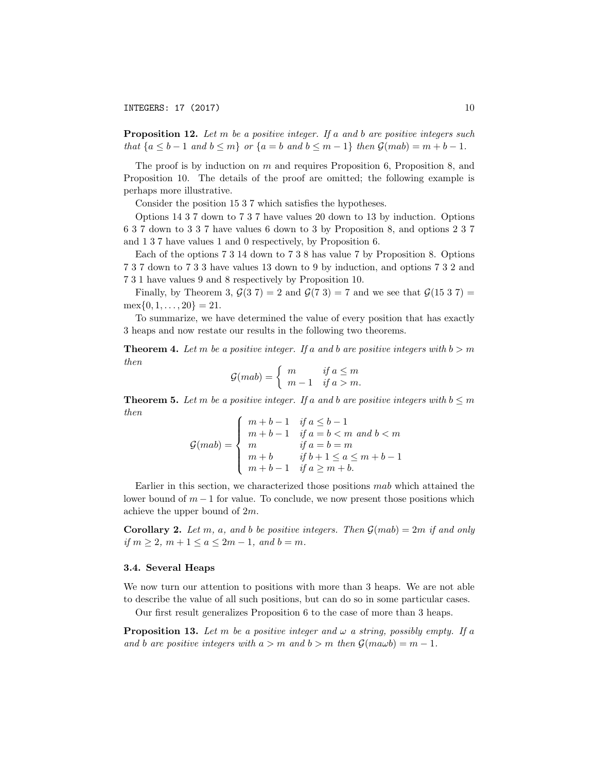INTEGERS: 17 (2017) 10

Proposition 12. *Let m be a positive integer. If a and b are positive integers such that*  ${a \le b-1}$  *and*  ${b \le m}$  *or*  ${a = b \text{ and } b \le m-1}$  *then*  $\mathcal{G}(mab) = m + b - 1$ *.* 

The proof is by induction on *m* and requires Proposition 6, Proposition 8, and Proposition 10. The details of the proof are omitted; the following example is perhaps more illustrative.

Consider the position 15 3 7 which satisfies the hypotheses.

Options 14 3 7 down to 7 3 7 have values 20 down to 13 by induction. Options 6 3 7 down to 3 3 7 have values 6 down to 3 by Proposition 8, and options 2 3 7 and 1 3 7 have values 1 and 0 respectively, by Proposition 6.

Each of the options 7 3 14 down to 7 3 8 has value 7 by Proposition 8. Options 7 3 7 down to 7 3 3 have values 13 down to 9 by induction, and options 7 3 2 and 7 3 1 have values 9 and 8 respectively by Proposition 10.

Finally, by Theorem 3,  $\mathcal{G}(3 7) = 2$  and  $\mathcal{G}(7 3) = 7$  and we see that  $\mathcal{G}(15 3 7) =$  $\max\{0, 1, \ldots, 20\} = 21.$ 

To summarize, we have determined the value of every position that has exactly 3 heaps and now restate our results in the following two theorems.

**Theorem 4.** Let m be a positive integer. If a and b are positive integers with  $b > m$ *then*

$$
\mathcal{G}(mab) = \begin{cases} m & \text{if } a \le m \\ m-1 & \text{if } a > m. \end{cases}
$$

**Theorem 5.** Let m be a positive integer. If a and b are positive integers with  $b \leq m$ *then*

$$
\mathcal{G}(mab) = \begin{cases} m+b-1 & \text{if } a \leq b-1 \\ m+b-1 & \text{if } a=b < m \text{ and } b < m \\ m & \text{if } a=b=m \\ m+b & \text{if } b+1 \leq a \leq m+b-1 \\ m+b-1 & \text{if } a \geq m+b. \end{cases}
$$

Earlier in this section, we characterized those positions *mab* which attained the lower bound of  $m-1$  for value. To conclude, we now present those positions which achieve the upper bound of 2*m*.

**Corollary 2.** Let  $m$ ,  $a$ , and  $b$  be positive integers. Then  $\mathcal{G}(mab) = 2m$  if and only *if*  $m \geq 2$ ,  $m + 1 \leq a \leq 2m - 1$ , and  $b = m$ .

#### 3.4. Several Heaps

We now turn our attention to positions with more than 3 heaps. We are not able to describe the value of all such positions, but can do so in some particular cases.

Our first result generalizes Proposition 6 to the case of more than 3 heaps.

**Proposition 13.** Let  $m$  be a positive integer and  $\omega$  a string, possibly empty. If a *and b are positive integers with*  $a > m$  *and*  $b > m$  *then*  $\mathcal{G}(mawb) = m - 1$ *.*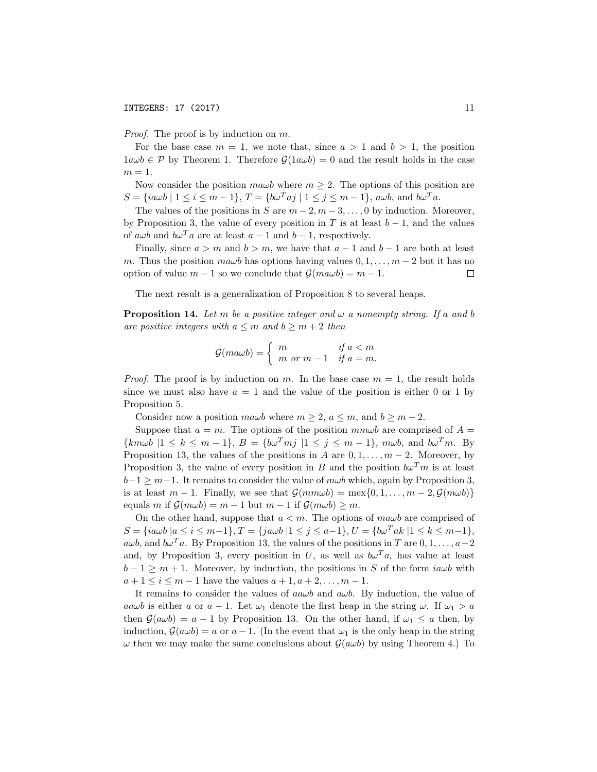*Proof.* The proof is by induction on *m*.

For the base case  $m = 1$ , we note that, since  $a > 1$  and  $b > 1$ , the position  $1a\omega b \in \mathcal{P}$  by Theorem 1. Therefore  $\mathcal{G}(1a\omega b) = 0$  and the result holds in the case  $m=1$ .

Now consider the position  $m\omega b$  where  $m \geq 2$ . The options of this position are  $S = \{ia\omega b \mid 1 \le i \le m-1\}, T = \{b\omega^T aj \mid 1 \le j \le m-1\}, a\omega b$ , and  $b\omega^T a$ .

The values of the positions in *S* are  $m-2, m-3, \ldots, 0$  by induction. Moreover, by Proposition 3, the value of every position in *T* is at least  $b-1$ , and the values of  $a\omega b$  and  $b\omega^T a$  are at least  $a-1$  and  $b-1$ , respectively.

Finally, since  $a > m$  and  $b > m$ , we have that  $a - 1$  and  $b - 1$  are both at least *m*. Thus the position  $m a \omega b$  has options having values  $0, 1, \ldots, m-2$  but it has no option of value  $m-1$  so we conclude that  $\mathcal{G}(m a \omega b) = m-1$ . option of value  $m - 1$  so we conclude that  $\mathcal{G}(m a \omega b) = m - 1$ .

The next result is a generalization of Proposition 8 to several heaps.

**Proposition 14.** Let m be a positive integer and  $\omega$  a nonempty string. If a and b *are positive integers with*  $a \leq m$  *and*  $b \geq m + 2$  *then* 

$$
\mathcal{G}(m a \omega b) = \begin{cases} m & \text{if } a < m \\ m \text{ or } m - 1 & \text{if } a = m. \end{cases}
$$

*Proof.* The proof is by induction on *m*. In the base case  $m = 1$ , the result holds since we must also have  $a = 1$  and the value of the position is either 0 or 1 by Proposition 5.

Consider now a position  $ma\omega b$  where  $m \geq 2$ ,  $a \leq m$ , and  $b \geq m + 2$ .

Suppose that  $a = m$ . The options of the position  $mm\omega b$  are comprised of  $A =$  ${k m \omega b \mid 1 \le k \le m-1}, B = {b \omega^T m j \mid 1 \le j \le m-1}, m \omega b$ , and  $b \omega^T m$ . By Proposition 13, the values of the positions in *A* are  $0, 1, \ldots, m-2$ . Moreover, by Proposition 3, the value of every position in *B* and the position  $b\omega^T m$  is at least  $b-1 \geq m+1$ . It remains to consider the value of  $m\omega b$  which, again by Proposition 3, is at least  $m-1$ . Finally, we see that  $\mathcal{G}(mm\omega b) = \max\{0, 1, \ldots, m-2, \mathcal{G}(m\omega b)\}\$ equals *m* if  $\mathcal{G}(m\omega b) = m - 1$  but  $m - 1$  if  $\mathcal{G}(m\omega b) \geq m$ .

On the other hand, suppose that  $a < m$ . The options of  $m a \omega b$  are comprised of  $S = \{ia\omega b \mid a \leq i \leq m-1\}, T = \{ja\omega b \mid 1 \leq j \leq a-1\}, U = \{b\omega^T ak \mid 1 \leq k \leq m-1\},$ *awb*, and  $b\omega^T a$ . By Proposition 13, the values of the positions in *T* are  $0, 1, \ldots, a-2$ and, by Proposition 3, every position in *U*, as well as  $b\omega^T a$ , has value at least  $b-1 \geq m+1$ . Moreover, by induction, the positions in *S* of the form *iawb* with  $a + 1 \le i \le m - 1$  have the values  $a + 1, a + 2, \ldots, m - 1$ .

It remains to consider the values of  $a \omega b$  and  $a \omega b$ . By induction, the value of *aawb* is either *a* or  $a - 1$ . Let  $\omega_1$  denote the first heap in the string  $\omega$ . If  $\omega_1 > a$ then  $\mathcal{G}(a\omega b) = a - 1$  by Proposition 13. On the other hand, if  $\omega_1 \leq a$  then, by induction,  $\mathcal{G}(a\omega b) = a$  or  $a - 1$ . (In the event that  $\omega_1$  is the only heap in the string  $\omega$  then we may make the same conclusions about  $\mathcal{G}(a\omega b)$  by using Theorem 4.) To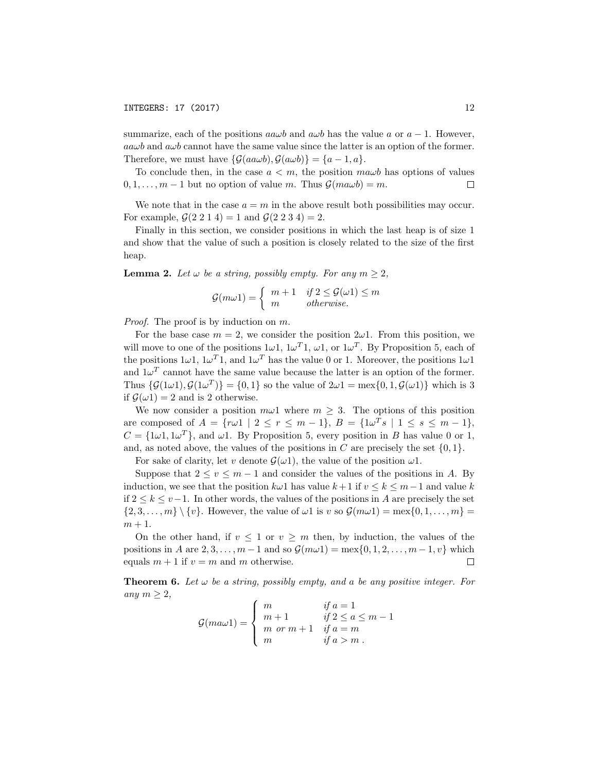summarize, each of the positions  $a\omega b$  and  $a\omega b$  has the value *a* or  $a-1$ . However,  $a\alpha\omega b$  and  $a\omega b$  cannot have the same value since the latter is an option of the former. Therefore, we must have  $\{\mathcal{G}(a\omega b), \mathcal{G}(a\omega b)\} = \{a-1, a\}.$ 

To conclude then, in the case  $a < m$ , the position  $m \omega b$  has options of values  $0, 1, \ldots, m-1$  but no option of value *m*. Thus  $\mathcal{G}(m \omega b) = m$ . □

We note that in the case  $a = m$  in the above result both possibilities may occur. For example,  $\mathcal{G}(2\ 2\ 1\ 4) = 1$  and  $\mathcal{G}(2\ 2\ 3\ 4) = 2$ .

Finally in this section, we consider positions in which the last heap is of size 1 and show that the value of such a position is closely related to the size of the first heap.

**Lemma 2.** Let  $\omega$  be a string, possibly empty. For any  $m \geq 2$ ,

$$
\mathcal{G}(m\omega 1) = \begin{cases} m+1 & \text{if } 2 \leq \mathcal{G}(\omega 1) \leq m \\ m & \text{otherwise.} \end{cases}
$$

*Proof.* The proof is by induction on *m*.

For the base case  $m = 2$ , we consider the position  $2\omega$ . From this position, we will move to one of the positions  $1\omega 1$ ,  $1\omega^T 1$ ,  $\omega 1$ , or  $1\omega^T$ . By Proposition 5, each of the positions  $1\omega 1$ ,  $1\omega^T 1$ , and  $1\omega^T$  has the value 0 or 1. Moreover, the positions  $1\omega 1$ and  $1\omega^T$  cannot have the same value because the latter is an option of the former. Thus  $\{\mathcal{G}(1\omega 1), \mathcal{G}(1\omega^T)\} = \{0, 1\}$  so the value of  $2\omega 1 = \max\{0, 1, \mathcal{G}(\omega 1)\}\$  which is 3 if  $\mathcal{G}(\omega 1) = 2$  and is 2 otherwise.

We now consider a position  $m\omega 1$  where  $m \geq 3$ . The options of this position are composed of  $A = \{r\omega 1 \mid 2 \le r \le m-1\}, B = \{1\omega^T s \mid 1 \le s \le m-1\},\$  $C = \{1\omega 1, 1\omega^T\}$ , and  $\omega 1$ . By Proposition 5, every position in *B* has value 0 or 1, and, as noted above, the values of the positions in *C* are precisely the set  $\{0,1\}$ .

For sake of clarity, let *v* denote  $\mathcal{G}(\omega 1)$ , the value of the position  $\omega 1$ .

Suppose that  $2 \le v \le m - 1$  and consider the values of the positions in *A*. By induction, we see that the position  $k\omega 1$  has value  $k+1$  if  $v \leq k \leq m-1$  and value k if  $2 \leq k \leq v-1$ . In other words, the values of the positions in *A* are precisely the set  $\{2,3,\ldots,m\}\setminus\{v\}.$  However, the value of  $\omega 1$  is v so  $\mathcal{G}(m\omega 1) = \max\{0,1,\ldots,m\} =$  $m + 1$ .

On the other hand, if  $v \leq 1$  or  $v \geq m$  then, by induction, the values of the positions in A are 2, 3, ...,  $m-1$  and so  $\mathcal{G}(m\omega 1) = \max\{0, 1, 2, ..., m-1, v\}$  which<br>equals  $m+1$  if  $v=m$  and m otherwise. equals  $m + 1$  if  $v = m$  and  $m$  otherwise.

**Theorem 6.** Let  $\omega$  be a string, possibly empty, and a be any positive integer. For *any*  $m \geq 2$ ,

$$
\mathcal{G}(m a \omega 1) = \begin{cases} m & \text{if } a = 1 \\ m+1 & \text{if } 2 \le a \le m-1 \\ m \text{ or } m+1 & \text{if } a = m \\ m & \text{if } a > m \end{cases}
$$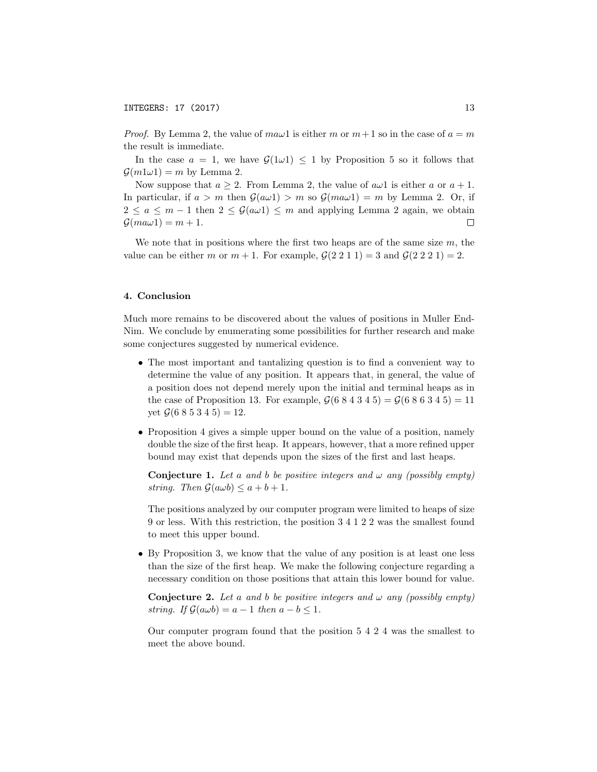*Proof.* By Lemma 2, the value of  $m \omega$ 1 is either *m* or  $m+1$  so in the case of  $a=m$ the result is immediate.

In the case  $a = 1$ , we have  $\mathcal{G}(1\omega 1) \leq 1$  by Proposition 5 so it follows that  $\mathcal{G}(m1\omega1) = m$  by Lemma 2.

Now suppose that  $a \geq 2$ . From Lemma 2, the value of  $a\omega 1$  is either a or  $a + 1$ . In particular, if  $a > m$  then  $\mathcal{G}(a\omega 1) > m$  so  $\mathcal{G}(ma\omega 1) = m$  by Lemma 2. Or, if  $2 \le a \le m - 1$  then  $2 \le \mathcal{G}(a\omega 1) \le m$  and applying Lemma 2 again, we obtain  $\mathcal{G}(ma\omega 1) = m + 1$ .  $\mathcal{G}(ma\omega 1) = m + 1.$ 

We note that in positions where the first two heaps are of the same size *m*, the value can be either *m* or  $m + 1$ . For example,  $G(2\ 2\ 1\ 1) = 3$  and  $G(2\ 2\ 2\ 1) = 2$ .

#### 4. Conclusion

Much more remains to be discovered about the values of positions in Muller End-Nim. We conclude by enumerating some possibilities for further research and make some conjectures suggested by numerical evidence.

- The most important and tantalizing question is to find a convenient way to determine the value of any position. It appears that, in general, the value of a position does not depend merely upon the initial and terminal heaps as in the case of Proposition 13. For example,  $G(684345) = G(686345) = 11$ yet  $\mathcal{G}(6\ 8\ 5\ 3\ 4\ 5) = 12$ .
- Proposition 4 gives a simple upper bound on the value of a position, namely double the size of the first heap. It appears, however, that a more refined upper bound may exist that depends upon the sizes of the first and last heaps.

**Conjecture 1.** Let a and b be positive integers and  $\omega$  any (possibly empty) *string. Then*  $\mathcal{G}(a\omega b) \leq a + b + 1$ *.* 

The positions analyzed by our computer program were limited to heaps of size 9 or less. With this restriction, the position 3 4 1 2 2 was the smallest found to meet this upper bound.

• By Proposition 3, we know that the value of any position is at least one less than the size of the first heap. We make the following conjecture regarding a necessary condition on those positions that attain this lower bound for value.

**Conjecture 2.** Let a and b be positive integers and  $\omega$  any (possibly empty) *string. If*  $\mathcal{G}(a\omega b) = a - 1$  *then*  $a - b \leq 1$ *.* 

Our computer program found that the position 5 4 2 4 was the smallest to meet the above bound.